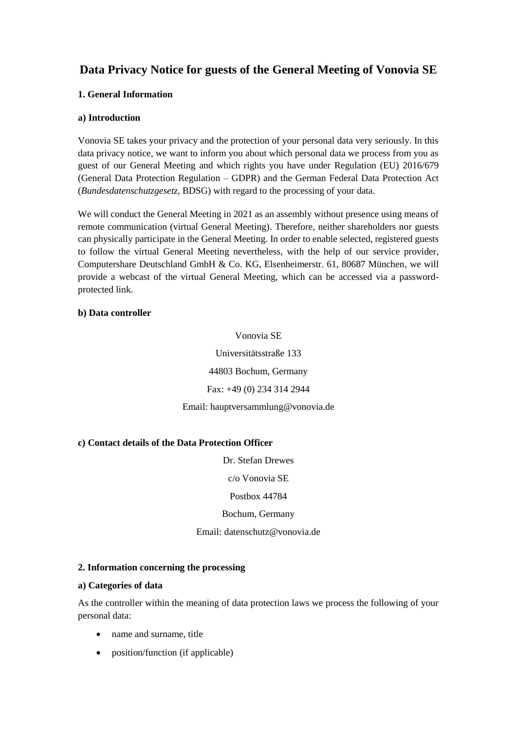# **Data Privacy Notice for guests of the General Meeting of Vonovia SE**

# **1. General Information**

# **a) Introduction**

Vonovia SE takes your privacy and the protection of your personal data very seriously. In this data privacy notice, we want to inform you about which personal data we process from you as guest of our General Meeting and which rights you have under Regulation (EU) 2016/679 (General Data Protection Regulation – GDPR) and the German Federal Data Protection Act (*Bundesdatenschutzgesetz*, BDSG) with regard to the processing of your data.

We will conduct the General Meeting in 2021 as an assembly without presence using means of remote communication (virtual General Meeting). Therefore, neither shareholders nor guests can physically participate in the General Meeting. In order to enable selected, registered guests to follow the virtual General Meeting nevertheless, with the help of our service provider, Computershare Deutschland GmbH & Co. KG, Elsenheimerstr. 61, 80687 München, we will provide a webcast of the virtual General Meeting, which can be accessed via a passwordprotected link.

### **b) Data controller**

Vonovia SE Universitätsstraße 133 44803 Bochum, Germany Fax: +49 (0) 234 314 2944 Email: hauptversammlung@vonovia.de

# **c) Contact details of the Data Protection Officer**

Dr. Stefan Drewes

c/o Vonovia SE

Postbox 44784

Bochum, Germany

Email: datenschutz@vonovia.de

# **2. Information concerning the processing**

#### **a) Categories of data**

As the controller within the meaning of data protection laws we process the following of your personal data:

- name and surname, title
- position/function (if applicable)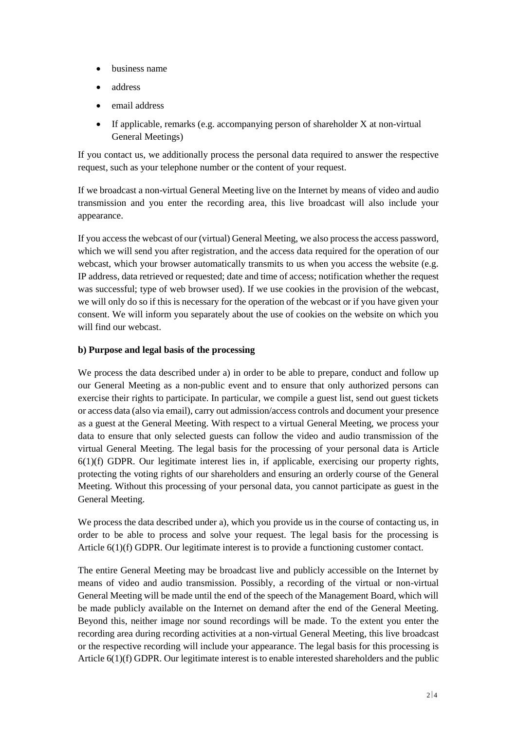- business name
- address
- email address
- If applicable, remarks (e.g. accompanying person of shareholder X at non-virtual General Meetings)

If you contact us, we additionally process the personal data required to answer the respective request, such as your telephone number or the content of your request.

If we broadcast a non-virtual General Meeting live on the Internet by means of video and audio transmission and you enter the recording area, this live broadcast will also include your appearance.

If you access the webcast of our (virtual) General Meeting, we also process the access password, which we will send you after registration, and the access data required for the operation of our webcast, which your browser automatically transmits to us when you access the website (e.g. IP address, data retrieved or requested; date and time of access; notification whether the request was successful; type of web browser used). If we use cookies in the provision of the webcast, we will only do so if this is necessary for the operation of the webcast or if you have given your consent. We will inform you separately about the use of cookies on the website on which you will find our webcast.

# **b) Purpose and legal basis of the processing**

We process the data described under a) in order to be able to prepare, conduct and follow up our General Meeting as a non-public event and to ensure that only authorized persons can exercise their rights to participate. In particular, we compile a guest list, send out guest tickets or access data (also via email), carry out admission/access controls and document your presence as a guest at the General Meeting. With respect to a virtual General Meeting, we process your data to ensure that only selected guests can follow the video and audio transmission of the virtual General Meeting. The legal basis for the processing of your personal data is Article 6(1)(f) GDPR. Our legitimate interest lies in, if applicable, exercising our property rights, protecting the voting rights of our shareholders and ensuring an orderly course of the General Meeting. Without this processing of your personal data, you cannot participate as guest in the General Meeting.

We process the data described under a), which you provide us in the course of contacting us, in order to be able to process and solve your request. The legal basis for the processing is Article 6(1)(f) GDPR. Our legitimate interest is to provide a functioning customer contact.

The entire General Meeting may be broadcast live and publicly accessible on the Internet by means of video and audio transmission. Possibly, a recording of the virtual or non-virtual General Meeting will be made until the end of the speech of the Management Board, which will be made publicly available on the Internet on demand after the end of the General Meeting. Beyond this, neither image nor sound recordings will be made. To the extent you enter the recording area during recording activities at a non-virtual General Meeting, this live broadcast or the respective recording will include your appearance. The legal basis for this processing is Article 6(1)(f) GDPR. Our legitimate interest is to enable interested shareholders and the public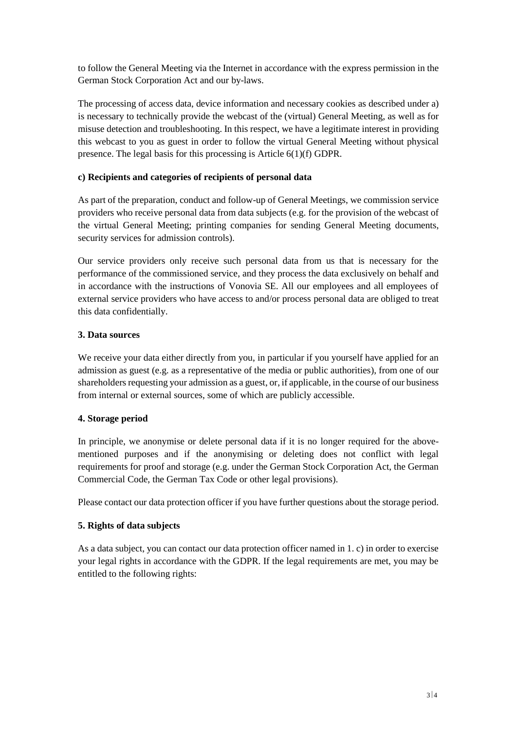to follow the General Meeting via the Internet in accordance with the express permission in the German Stock Corporation Act and our by-laws.

The processing of access data, device information and necessary cookies as described under a) is necessary to technically provide the webcast of the (virtual) General Meeting, as well as for misuse detection and troubleshooting. In this respect, we have a legitimate interest in providing this webcast to you as guest in order to follow the virtual General Meeting without physical presence. The legal basis for this processing is Article 6(1)(f) GDPR.

# **c) Recipients and categories of recipients of personal data**

As part of the preparation, conduct and follow-up of General Meetings, we commission service providers who receive personal data from data subjects (e.g. for the provision of the webcast of the virtual General Meeting; printing companies for sending General Meeting documents, security services for admission controls).

Our service providers only receive such personal data from us that is necessary for the performance of the commissioned service, and they process the data exclusively on behalf and in accordance with the instructions of Vonovia SE. All our employees and all employees of external service providers who have access to and/or process personal data are obliged to treat this data confidentially.

# **3. Data sources**

We receive your data either directly from you, in particular if you yourself have applied for an admission as guest (e.g. as a representative of the media or public authorities), from one of our shareholders requesting your admission as a guest, or, if applicable, in the course of our business from internal or external sources, some of which are publicly accessible.

# **4. Storage period**

In principle, we anonymise or delete personal data if it is no longer required for the abovementioned purposes and if the anonymising or deleting does not conflict with legal requirements for proof and storage (e.g. under the German Stock Corporation Act, the German Commercial Code, the German Tax Code or other legal provisions).

Please contact our data protection officer if you have further questions about the storage period.

# **5. Rights of data subjects**

As a data subject, you can contact our data protection officer named in 1. c) in order to exercise your legal rights in accordance with the GDPR. If the legal requirements are met, you may be entitled to the following rights: